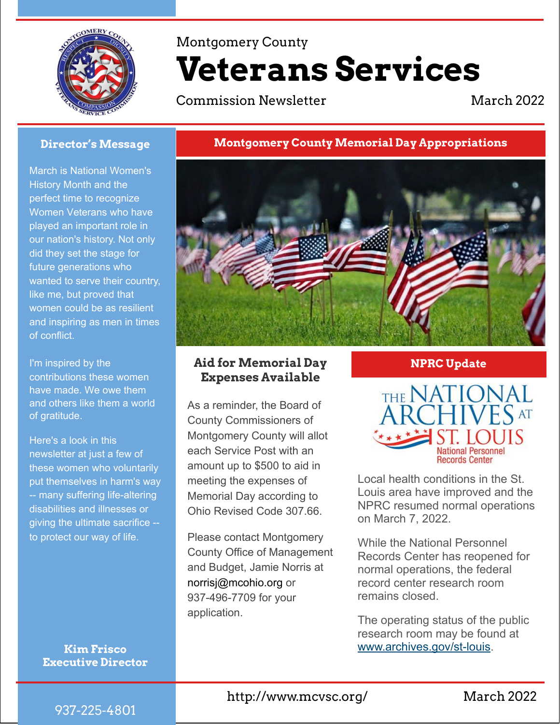

# Montgomery County **Veterans Services**

**Commission Newsletter March 2022** 

### **Director's Message**

March is National Women's History Month and the perfect time to recognize Women Veterans who have played an important role in our nation's history. Not only did they set the stage for future generations who wanted to serve their country, like me, but proved that women could be as resilient and inspiring as men in times of conflict.

I'm inspired by the contributions these women have made. We owe them and others like them a world of gratitude.

Here's a look in this newsletter at just a few of these women who voluntarily put themselves in harm's way -- many suffering life-altering disabilities and illnesses or giving the ultimate sacrifice - to protect our way of life.

> **Kim Frisco Executive Director**

# **Montgomery County Memorial Day Appropriations**



# **Aid for Memorial Day Expenses Available**

As a reminder, the Board of County Commissioners of Montgomery County will allot each Service Post with an amount up to \$500 to aid in meeting the expenses of Memorial Day according to Ohio Revised Code 307.66.

Please contact Montgomery County Office of Management and Budget, Jamie Norris at norrisj@mcohio.org or 937-496-7709 for your application.

## **NPRC Update**

THE NATIONAL<br>ARCHIVES AT **Records Center** 

Local health conditions in the St. Louis area have improved and the NPRC resumed normal operations on March 7, 2022.

While the National Personnel Records Center has reopened for normal operations, the federal record center research room remains closed.

The operating status of the public research room may be found at [www.archives.gov/st-louis](https://www.archives.gov/st-louis).

# http://www.mcvsc.org/

937-225-4801